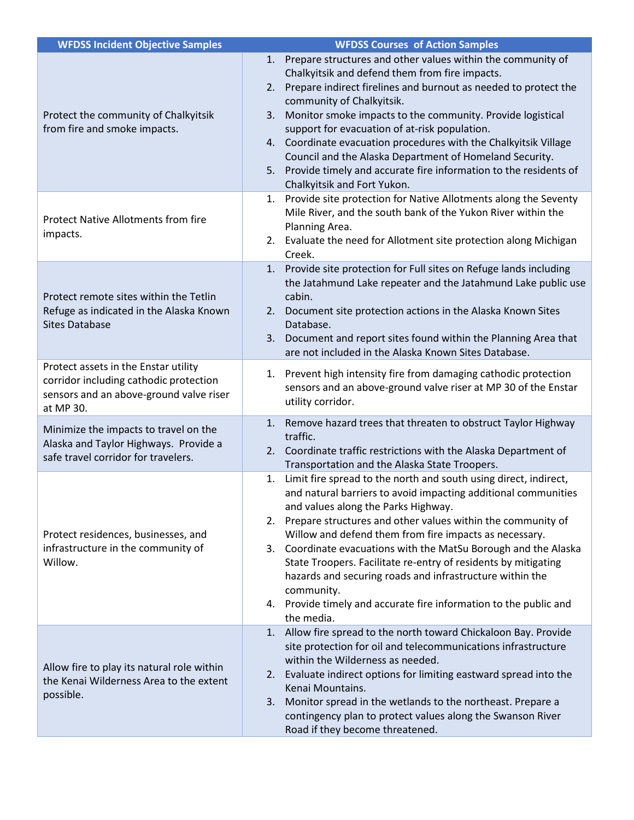| <b>WFDSS Incident Objective Samples</b>                                                                                                | <b>WFDSS Courses of Action Samples</b>                                                                                                                                                                                                                                                                                                                                                                                                                                                                                                                                                                        |
|----------------------------------------------------------------------------------------------------------------------------------------|---------------------------------------------------------------------------------------------------------------------------------------------------------------------------------------------------------------------------------------------------------------------------------------------------------------------------------------------------------------------------------------------------------------------------------------------------------------------------------------------------------------------------------------------------------------------------------------------------------------|
| Protect the community of Chalkyitsik<br>from fire and smoke impacts.                                                                   | 1. Prepare structures and other values within the community of<br>Chalkyitsik and defend them from fire impacts.<br>2. Prepare indirect firelines and burnout as needed to protect the<br>community of Chalkyitsik.<br>3. Monitor smoke impacts to the community. Provide logistical<br>support for evacuation of at-risk population.<br>4. Coordinate evacuation procedures with the Chalkyitsik Village<br>Council and the Alaska Department of Homeland Security.<br>5. Provide timely and accurate fire information to the residents of<br>Chalkyitsik and Fort Yukon.                                    |
| <b>Protect Native Allotments from fire</b><br>impacts.                                                                                 | 1. Provide site protection for Native Allotments along the Seventy<br>Mile River, and the south bank of the Yukon River within the<br>Planning Area.<br>2. Evaluate the need for Allotment site protection along Michigan<br>Creek.                                                                                                                                                                                                                                                                                                                                                                           |
| Protect remote sites within the Tetlin<br>Refuge as indicated in the Alaska Known<br><b>Sites Database</b>                             | 1. Provide site protection for Full sites on Refuge lands including<br>the Jatahmund Lake repeater and the Jatahmund Lake public use<br>cabin.<br>2. Document site protection actions in the Alaska Known Sites<br>Database.<br>3. Document and report sites found within the Planning Area that<br>are not included in the Alaska Known Sites Database.                                                                                                                                                                                                                                                      |
| Protect assets in the Enstar utility<br>corridor including cathodic protection<br>sensors and an above-ground valve riser<br>at MP 30. | 1. Prevent high intensity fire from damaging cathodic protection<br>sensors and an above-ground valve riser at MP 30 of the Enstar<br>utility corridor.                                                                                                                                                                                                                                                                                                                                                                                                                                                       |
| Minimize the impacts to travel on the<br>Alaska and Taylor Highways. Provide a<br>safe travel corridor for travelers.                  | Remove hazard trees that threaten to obstruct Taylor Highway<br>1.<br>traffic.<br>2. Coordinate traffic restrictions with the Alaska Department of<br>Transportation and the Alaska State Troopers.                                                                                                                                                                                                                                                                                                                                                                                                           |
| Protect residences, businesses, and<br>infrastructure in the community of<br>Willow.                                                   | Limit fire spread to the north and south using direct, indirect,<br>1.<br>and natural barriers to avoid impacting additional communities<br>and values along the Parks Highway.<br>2. Prepare structures and other values within the community of<br>Willow and defend them from fire impacts as necessary.<br>3. Coordinate evacuations with the MatSu Borough and the Alaska<br>State Troopers. Facilitate re-entry of residents by mitigating<br>hazards and securing roads and infrastructure within the<br>community.<br>4. Provide timely and accurate fire information to the public and<br>the media. |
| Allow fire to play its natural role within<br>the Kenai Wilderness Area to the extent<br>possible.                                     | 1. Allow fire spread to the north toward Chickaloon Bay. Provide<br>site protection for oil and telecommunications infrastructure<br>within the Wilderness as needed.<br>2. Evaluate indirect options for limiting eastward spread into the<br>Kenai Mountains.<br>Monitor spread in the wetlands to the northeast. Prepare a<br>3.<br>contingency plan to protect values along the Swanson River<br>Road if they become threatened.                                                                                                                                                                          |